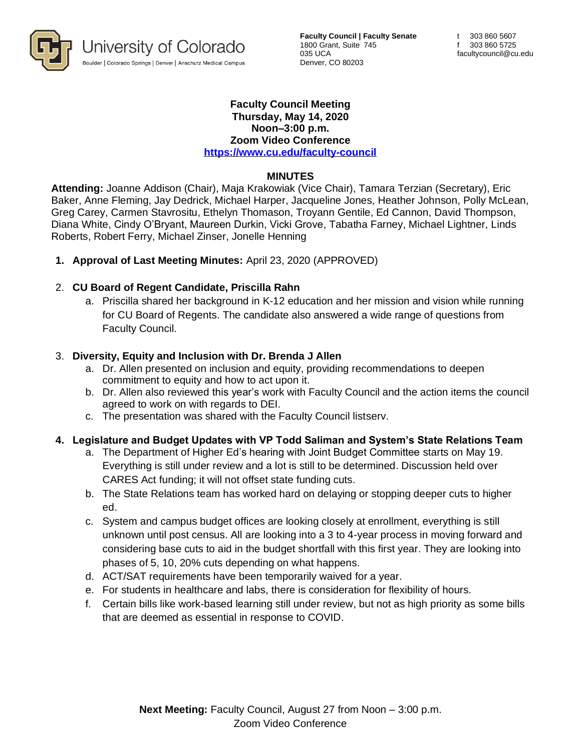

**Faculty Council | Faculty Senate** 1800 Grant, Suite 745 035 UCA Denver, CO 80203

#### **Faculty Council Meeting Thursday, May 14, 2020 Noon–3:00 p.m. Zoom Video Conference <https://www.cu.edu/faculty-council>**

### **MINUTES**

**Attending:** Joanne Addison (Chair), Maja Krakowiak (Vice Chair), Tamara Terzian (Secretary), Eric Baker, Anne Fleming, Jay Dedrick, Michael Harper, Jacqueline Jones, Heather Johnson, Polly McLean, Greg Carey, Carmen Stavrositu, Ethelyn Thomason, Troyann Gentile, Ed Cannon, David Thompson, Diana White, Cindy O'Bryant, Maureen Durkin, Vicki Grove, Tabatha Farney, Michael Lightner, Linds Roberts, Robert Ferry, Michael Zinser, Jonelle Henning

**1. Approval of Last Meeting Minutes:** April 23, 2020 (APPROVED)

## 2. **CU Board of Regent Candidate, Priscilla Rahn**

a. Priscilla shared her background in K-12 education and her mission and vision while running for CU Board of Regents. The candidate also answered a wide range of questions from Faculty Council.

#### 3. **Diversity, Equity and Inclusion with Dr. Brenda J Allen**

- a. Dr. Allen presented on inclusion and equity, providing recommendations to deepen commitment to equity and how to act upon it.
- b. Dr. Allen also reviewed this year's work with Faculty Council and the action items the council agreed to work on with regards to DEI.
- c. The presentation was shared with the Faculty Council listserv.

# **4. Legislature and Budget Updates with VP Todd Saliman and System's State Relations Team**

- a. The Department of Higher Ed's hearing with Joint Budget Committee starts on May 19. Everything is still under review and a lot is still to be determined. Discussion held over CARES Act funding; it will not offset state funding cuts.
- b. The State Relations team has worked hard on delaying or stopping deeper cuts to higher ed.
- c. System and campus budget offices are looking closely at enrollment, everything is still unknown until post census. All are looking into a 3 to 4-year process in moving forward and considering base cuts to aid in the budget shortfall with this first year. They are looking into phases of 5, 10, 20% cuts depending on what happens.
- d. ACT/SAT requirements have been temporarily waived for a year.
- e. For students in healthcare and labs, there is consideration for flexibility of hours.
- f. Certain bills like work-based learning still under review, but not as high priority as some bills that are deemed as essential in response to COVID.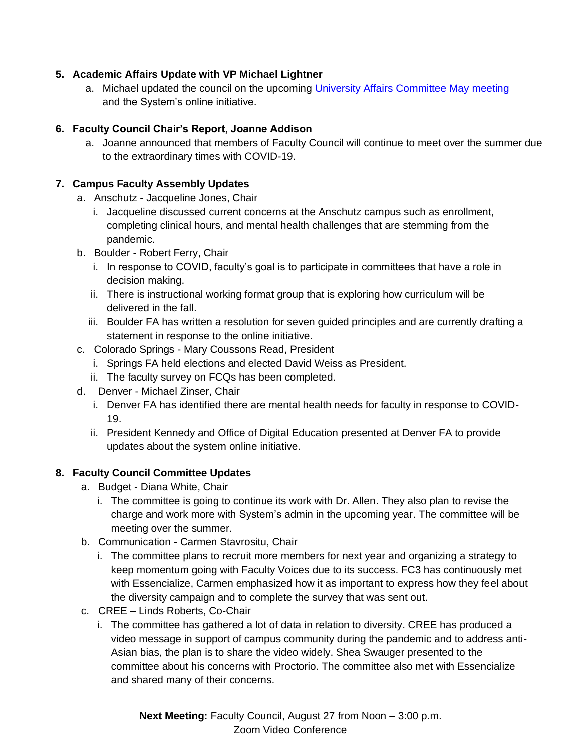## **5. Academic Affairs Update with VP Michael Lightner**

a. Michael updated the council on the upcoming [University Affairs Committee May meeting](https://go.boarddocs.com/co/cu/Board.nsf/goto?open&id=BF8PXG625E9B) and the System's online initiative.

## **6. Faculty Council Chair's Report, Joanne Addison**

a. Joanne announced that members of Faculty Council will continue to meet over the summer due to the extraordinary times with COVID-19.

## **7. Campus Faculty Assembly Updates**

- a. Anschutz Jacqueline Jones, Chair
	- i. Jacqueline discussed current concerns at the Anschutz campus such as enrollment, completing clinical hours, and mental health challenges that are stemming from the pandemic.
- b. Boulder Robert Ferry, Chair
	- i. In response to COVID, faculty's goal is to participate in committees that have a role in decision making.
	- ii. There is instructional working format group that is exploring how curriculum will be delivered in the fall.
	- iii. Boulder FA has written a resolution for seven guided principles and are currently drafting a statement in response to the online initiative.
- c. Colorado Springs Mary Coussons Read, President
	- i. Springs FA held elections and elected David Weiss as President.
	- ii. The faculty survey on FCQs has been completed.
- d. Denver Michael Zinser, Chair
	- i. Denver FA has identified there are mental health needs for faculty in response to COVID-19.
	- ii. President Kennedy and Office of Digital Education presented at Denver FA to provide updates about the system online initiative.

# **8. Faculty Council Committee Updates**

- a. Budget Diana White, Chair
	- i. The committee is going to continue its work with Dr. Allen. They also plan to revise the charge and work more with System's admin in the upcoming year. The committee will be meeting over the summer.
- b. Communication Carmen Stavrositu, Chair
	- i. The committee plans to recruit more members for next year and organizing a strategy to keep momentum going with Faculty Voices due to its success. FC3 has continuously met with Essencialize, Carmen emphasized how it as important to express how they feel about the diversity campaign and to complete the survey that was sent out.
- c. CREE Linds Roberts, Co-Chair
	- i. The committee has gathered a lot of data in relation to diversity. CREE has produced a video message in support of campus community during the pandemic and to address anti-Asian bias, the plan is to share the video widely. Shea Swauger presented to the committee about his concerns with Proctorio. The committee also met with Essencialize and shared many of their concerns.